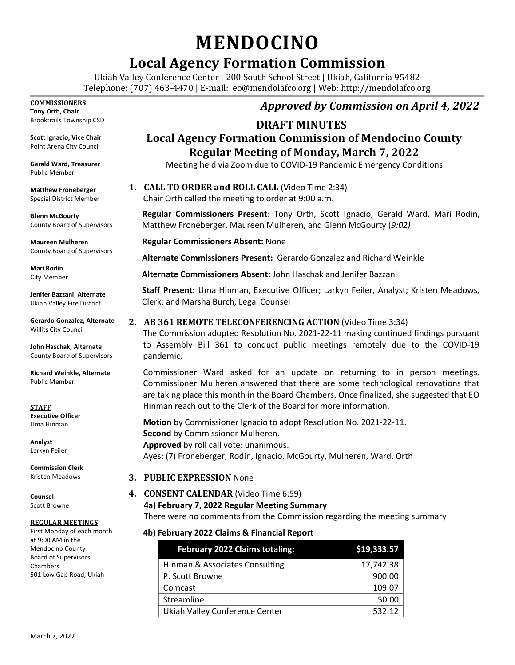# **MENDOCINO**

# **Local Agency Formation Commission**

Ukiah Valley Conference Center | 200 South School Street | Ukiah, California 95482 Telephone: (707) 463-4470 | E-mail: [eo@mendolafco.org](mailto:eo@mendolafco.org) | Web: http://mendolafco.org

#### **COMMISSIONERS**

**Tony Orth, Chair** Brooktrails Township CSD

**Scott Ignacio, Vice Chair** Point Arena City Council

**Gerald Ward, Treasurer** Public Member

**Matthew Froneberger** Special District Member

**Glenn McGourty** County Board of Supervisors

**Maureen Mulheren** County Board of Supervisors

**Mari Rodin** City Member

**Jenifer Bazzani, Alternate** Ukiah Valley Fire District

**Gerardo Gonzalez, Alternate** Willits City Council

**John Haschak, Alternate** County Board of Supervisors

**Richard Weinkle, Alternate** Public Member

**STAFF Executive Officer** Uma Hinman

**Analyst** Larkyn Feiler

**Commission Clerk** Kristen Meadows

**Counsel** Scott Browne

#### **REGULAR MEETINGS**

First Monday of each month at 9:00 AM in the Mendocino County Board of Supervisors Chambers 501 Low Gap Road, Ukiah

## *Approved by Commission on April 4, 2022*

### **DRAFT MINUTES**

# **Local Agency Formation Commission of Mendocino County Regular Meeting of Monday, March 7, 2022**

Meeting held via Zoom due to COVID-19 Pandemic Emergency Conditions

#### **1. CALL TO ORDER and ROLL CALL** (Video Time 2:34)

Chair Orth called the meeting to order at 9:00 a.m.

**Regular Commissioners Present**: Tony Orth, Scott Ignacio, Gerald Ward, Mari Rodin, Matthew Froneberger, Maureen Mulheren, and Glenn McGourty (*9:02)* 

**Regular Commissioners Absent:** None

**Alternate Commissioners Present:** Gerardo Gonzalez and Richard Weinkle

**Alternate Commissioners Absent:** John Haschak and Jenifer Bazzani

**Staff Present:** Uma Hinman, Executive Officer; Larkyn Feiler, Analyst; Kristen Meadows, Clerk; and Marsha Burch, Legal Counsel

#### **2. AB 361 REMOTE TELECONFERENCING ACTION** (Video Time 3:34)

The Commission adopted Resolution No. 2021-22-11 making continued findings pursuant to Assembly Bill 361 to conduct public meetings remotely due to the COVID-19 pandemic.

Commissioner Ward asked for an update on returning to in person meetings. Commissioner Mulheren answered that there are some technological renovations that are taking place this month in the Board Chambers. Once finalized, she suggested that EO Hinman reach out to the Clerk of the Board for more information.

**Motion** by Commissioner Ignacio to adopt Resolution No. 2021-22-11.  **Second** by Commissioner Mulheren.  **Approved** by roll call vote: unanimous. Ayes: (7) Froneberger, Rodin, Ignacio, McGourty, Mulheren, Ward, Orth

- **3. PUBLIC EXPRESSION** None
- **4. CONSENT CALENDAR** (Video Time 6:59) **4a) February 7, 2022 Regular Meeting Summary**

There were no comments from the Commission regarding the meeting summary

#### **4b) February 2022 Claims & Financial Report**

| <b>February 2022 Claims totaling:</b> | \$19,333.57 |
|---------------------------------------|-------------|
| Hinman & Associates Consulting        | 17,742.38   |
| P. Scott Browne                       | 900.00      |
| Comcast                               | 109.07      |
| Streamline                            | 50.00       |
| Ukiah Valley Conference Center        | 532.12      |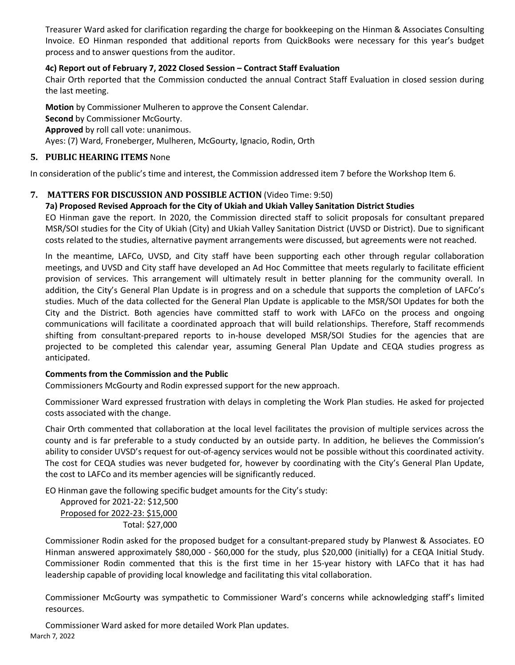Treasurer Ward asked for clarification regarding the charge for bookkeeping on the Hinman & Associates Consulting Invoice. EO Hinman responded that additional reports from QuickBooks were necessary for this year's budget process and to answer questions from the auditor.

#### **4c) Report out of February 7, 2022 Closed Session – Contract Staff Evaluation**

Chair Orth reported that the Commission conducted the annual Contract Staff Evaluation in closed session during the last meeting.

**Motion** by Commissioner Mulheren to approve the Consent Calendar.

**Second** by Commissioner McGourty.

**Approved** by roll call vote: unanimous.

Ayes: (7) Ward, Froneberger, Mulheren, McGourty, Ignacio, Rodin, Orth

#### **5. PUBLIC HEARING ITEMS** None

In consideration of the public's time and interest, the Commission addressed item 7 before the Workshop Item 6.

#### **7. MATTERS FOR DISCUSSION AND POSSIBLE ACTION** (Video Time: 9:50)

#### **7a) Proposed Revised Approach for the City of Ukiah and Ukiah Valley Sanitation District Studies**

EO Hinman gave the report. In 2020, the Commission directed staff to solicit proposals for consultant prepared MSR/SOI studies for the City of Ukiah (City) and Ukiah Valley Sanitation District (UVSD or District). Due to significant costs related to the studies, alternative payment arrangements were discussed, but agreements were not reached.

In the meantime, LAFCo, UVSD, and City staff have been supporting each other through regular collaboration meetings, and UVSD and City staff have developed an Ad Hoc Committee that meets regularly to facilitate efficient provision of services. This arrangement will ultimately result in better planning for the community overall. In addition, the City's General Plan Update is in progress and on a schedule that supports the completion of LAFCo's studies. Much of the data collected for the General Plan Update is applicable to the MSR/SOI Updates for both the City and the District. Both agencies have committed staff to work with LAFCo on the process and ongoing communications will facilitate a coordinated approach that will build relationships. Therefore, Staff recommends shifting from consultant-prepared reports to in-house developed MSR/SOI Studies for the agencies that are projected to be completed this calendar year, assuming General Plan Update and CEQA studies progress as anticipated.

#### **Comments from the Commission and the Public**

Commissioners McGourty and Rodin expressed support for the new approach.

Commissioner Ward expressed frustration with delays in completing the Work Plan studies. He asked for projected costs associated with the change.

Chair Orth commented that collaboration at the local level facilitates the provision of multiple services across the county and is far preferable to a study conducted by an outside party. In addition, he believes the Commission's ability to consider UVSD's request for out-of-agency services would not be possible without this coordinated activity. The cost for CEQA studies was never budgeted for, however by coordinating with the City's General Plan Update, the cost to LAFCo and its member agencies will be significantly reduced.

EO Hinman gave the following specific budget amounts for the City's study:

Approved for 2021-22: \$12,500 Proposed for 2022-23: \$15,000 Total: \$27,000

Commissioner Rodin asked for the proposed budget for a consultant-prepared study by Planwest & Associates. EO Hinman answered approximately \$80,000 - \$60,000 for the study, plus \$20,000 (initially) for a CEQA Initial Study. Commissioner Rodin commented that this is the first time in her 15-year history with LAFCo that it has had leadership capable of providing local knowledge and facilitating this vital collaboration.

Commissioner McGourty was sympathetic to Commissioner Ward's concerns while acknowledging staff's limited resources.

March 7, 2022 Commissioner Ward asked for more detailed Work Plan updates.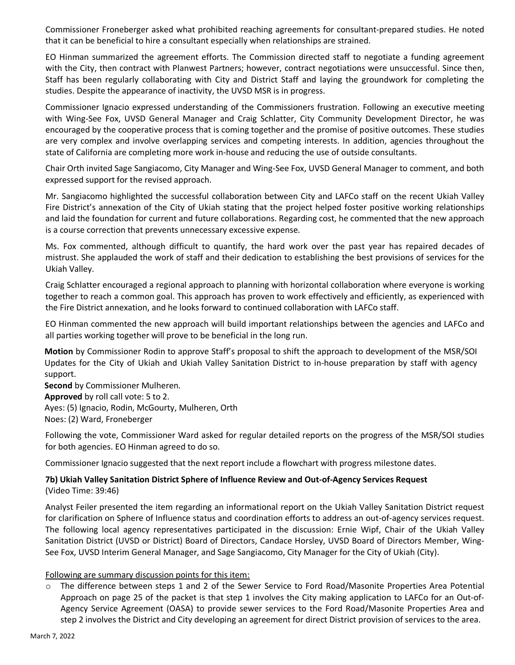Commissioner Froneberger asked what prohibited reaching agreements for consultant-prepared studies. He noted that it can be beneficial to hire a consultant especially when relationships are strained.

EO Hinman summarized the agreement efforts. The Commission directed staff to negotiate a funding agreement with the City, then contract with Planwest Partners; however, contract negotiations were unsuccessful. Since then, Staff has been regularly collaborating with City and District Staff and laying the groundwork for completing the studies. Despite the appearance of inactivity, the UVSD MSR is in progress.

Commissioner Ignacio expressed understanding of the Commissioners frustration. Following an executive meeting with Wing-See Fox, UVSD General Manager and Craig Schlatter, City Community Development Director, he was encouraged by the cooperative process that is coming together and the promise of positive outcomes. These studies are very complex and involve overlapping services and competing interests. In addition, agencies throughout the state of California are completing more work in-house and reducing the use of outside consultants.

Chair Orth invited Sage Sangiacomo, City Manager and Wing-See Fox, UVSD General Manager to comment, and both expressed support for the revised approach.

Mr. Sangiacomo highlighted the successful collaboration between City and LAFCo staff on the recent Ukiah Valley Fire District's annexation of the City of Ukiah stating that the project helped foster positive working relationships and laid the foundation for current and future collaborations. Regarding cost, he commented that the new approach is a course correction that prevents unnecessary excessive expense.

Ms. Fox commented, although difficult to quantify, the hard work over the past year has repaired decades of mistrust. She applauded the work of staff and their dedication to establishing the best provisions of services for the Ukiah Valley.

Craig Schlatter encouraged a regional approach to planning with horizontal collaboration where everyone is working together to reach a common goal. This approach has proven to work effectively and efficiently, as experienced with the Fire District annexation, and he looks forward to continued collaboration with LAFCo staff.

EO Hinman commented the new approach will build important relationships between the agencies and LAFCo and all parties working together will prove to be beneficial in the long run.

**Motion** by Commissioner Rodin to approve Staff's proposal to shift the approach to development of the MSR/SOI Updates for the City of Ukiah and Ukiah Valley Sanitation District to in-house preparation by staff with agency support.

**Second** by Commissioner Mulheren. **Approved** by roll call vote: 5 to 2. Ayes: (5) Ignacio, Rodin, McGourty, Mulheren, Orth Noes: (2) Ward, Froneberger

Following the vote, Commissioner Ward asked for regular detailed reports on the progress of the MSR/SOI studies for both agencies. EO Hinman agreed to do so.

Commissioner Ignacio suggested that the next report include a flowchart with progress milestone dates.

#### **7b) Ukiah Valley Sanitation District Sphere of Influence Review and Out-of-Agency Services Request**  (Video Time: 39:46)

Analyst Feiler presented the item regarding an informational report on the Ukiah Valley Sanitation District request for clarification on Sphere of Influence status and coordination efforts to address an out-of-agency services request. The following local agency representatives participated in the discussion: Ernie Wipf, Chair of the Ukiah Valley Sanitation District (UVSD or District) Board of Directors, Candace Horsley, UVSD Board of Directors Member, Wing-See Fox, UVSD Interim General Manager, and Sage Sangiacomo, City Manager for the City of Ukiah (City).

#### Following are summary discussion points for this item:

o The difference between steps 1 and 2 of the Sewer Service to Ford Road/Masonite Properties Area Potential Approach on page 25 of the packet is that step 1 involves the City making application to LAFCo for an Out-of-Agency Service Agreement (OASA) to provide sewer services to the Ford Road/Masonite Properties Area and step 2 involves the District and City developing an agreement for direct District provision of services to the area.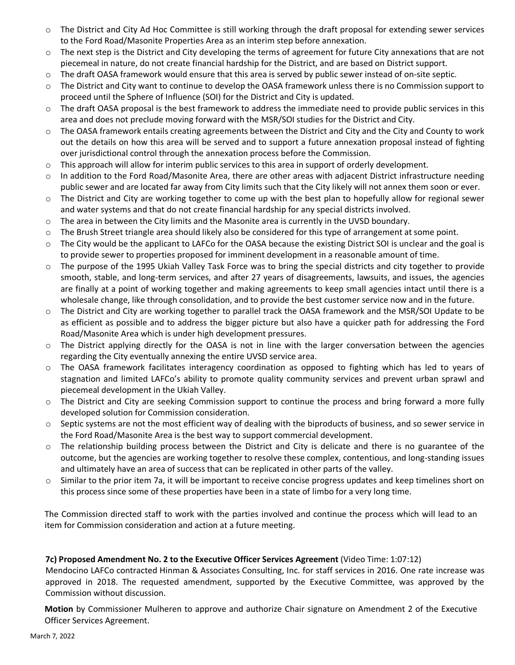- o The District and City Ad Hoc Committee is still working through the draft proposal for extending sewer services to the Ford Road/Masonite Properties Area as an interim step before annexation.
- o The next step is the District and City developing the terms of agreement for future City annexations that are not piecemeal in nature, do not create financial hardship for the District, and are based on District support.
- o The draft OASA framework would ensure that this area is served by public sewer instead of on-site septic.
- o The District and City want to continue to develop the OASA framework unless there is no Commission support to proceed until the Sphere of Influence (SOI) for the District and City is updated.
- $\circ$  The draft OASA proposal is the best framework to address the immediate need to provide public services in this area and does not preclude moving forward with the MSR/SOI studies for the District and City.
- o The OASA framework entails creating agreements between the District and City and the City and County to work out the details on how this area will be served and to support a future annexation proposal instead of fighting over jurisdictional control through the annexation process before the Commission.
- $\circ$  This approach will allow for interim public services to this area in support of orderly development.
- o In addition to the Ford Road/Masonite Area, there are other areas with adjacent District infrastructure needing public sewer and are located far away from City limits such that the City likely will not annex them soon or ever.
- o The District and City are working together to come up with the best plan to hopefully allow for regional sewer and water systems and that do not create financial hardship for any special districts involved.
- o The area in between the City limits and the Masonite area is currently in the UVSD boundary.
- o The Brush Street triangle area should likely also be considered for this type of arrangement at some point.
- o The City would be the applicant to LAFCo for the OASA because the existing District SOI is unclear and the goal is to provide sewer to properties proposed for imminent development in a reasonable amount of time.
- o The purpose of the 1995 Ukiah Valley Task Force was to bring the special districts and city together to provide smooth, stable, and long-term services, and after 27 years of disagreements, lawsuits, and issues, the agencies are finally at a point of working together and making agreements to keep small agencies intact until there is a wholesale change, like through consolidation, and to provide the best customer service now and in the future.
- o The District and City are working together to parallel track the OASA framework and the MSR/SOI Update to be as efficient as possible and to address the bigger picture but also have a quicker path for addressing the Ford Road/Masonite Area which is under high development pressures.
- o The District applying directly for the OASA is not in line with the larger conversation between the agencies regarding the City eventually annexing the entire UVSD service area.
- o The OASA framework facilitates interagency coordination as opposed to fighting which has led to years of stagnation and limited LAFCo's ability to promote quality community services and prevent urban sprawl and piecemeal development in the Ukiah Valley.
- o The District and City are seeking Commission support to continue the process and bring forward a more fully developed solution for Commission consideration.
- o Septic systems are not the most efficient way of dealing with the biproducts of business, and so sewer service in the Ford Road/Masonite Area is the best way to support commercial development.
- o The relationship building process between the District and City is delicate and there is no guarantee of the outcome, but the agencies are working together to resolve these complex, contentious, and long-standing issues and ultimately have an area of success that can be replicated in other parts of the valley.
- $\circ$  Similar to the prior item 7a, it will be important to receive concise progress updates and keep timelines short on this process since some of these properties have been in a state of limbo for a very long time.

The Commission directed staff to work with the parties involved and continue the process which will lead to an item for Commission consideration and action at a future meeting.

#### **7c) Proposed Amendment No. 2 to the Executive Officer Services Agreement** (Video Time: 1:07:12)

Mendocino LAFCo contracted Hinman & Associates Consulting, Inc. for staff services in 2016. One rate increase was approved in 2018. The requested amendment, supported by the Executive Committee, was approved by the Commission without discussion.

**Motion** by Commissioner Mulheren to approve and authorize Chair signature on Amendment 2 of the Executive Officer Services Agreement.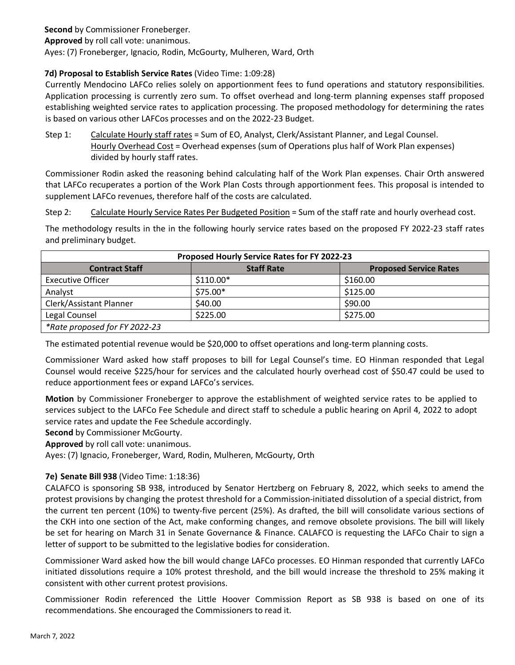#### **Second** by Commissioner Froneberger.

**Approved** by roll call vote: unanimous.

Ayes: (7) Froneberger, Ignacio, Rodin, McGourty, Mulheren, Ward, Orth

#### **7d) Proposal to Establish Service Rates** (Video Time: 1:09:28)

Currently Mendocino LAFCo relies solely on apportionment fees to fund operations and statutory responsibilities. Application processing is currently zero sum. To offset overhead and long-term planning expenses staff proposed establishing weighted service rates to application processing. The proposed methodology for determining the rates is based on various other LAFCos processes and on the 2022-23 Budget.

Step 1: Calculate Hourly staff rates = Sum of EO, Analyst, Clerk/Assistant Planner, and Legal Counsel. Hourly Overhead Cost = Overhead expenses (sum of Operations plus half of Work Plan expenses) divided by hourly staff rates.

Commissioner Rodin asked the reasoning behind calculating half of the Work Plan expenses. Chair Orth answered that LAFCo recuperates a portion of the Work Plan Costs through apportionment fees. This proposal is intended to supplement LAFCo revenues, therefore half of the costs are calculated.

Step 2: Calculate Hourly Service Rates Per Budgeted Position = Sum of the staff rate and hourly overhead cost.

The methodology results in the in the following hourly service rates based on the proposed FY 2022-23 staff rates and preliminary budget.

| Proposed Hourly Service Rates for FY 2022-23 |                   |                               |
|----------------------------------------------|-------------------|-------------------------------|
| <b>Contract Staff</b>                        | <b>Staff Rate</b> | <b>Proposed Service Rates</b> |
| <b>Executive Officer</b>                     | $$110.00*$        | \$160.00                      |
| Analyst                                      | \$75.00*          | \$125.00                      |
| Clerk/Assistant Planner                      | \$40.00           | \$90.00                       |
| Legal Counsel                                | \$225.00          | \$275.00                      |
| *Rate proposed for FY 2022-23                |                   |                               |

The estimated potential revenue would be \$20,000 to offset operations and long-term planning costs.

Commissioner Ward asked how staff proposes to bill for Legal Counsel's time. EO Hinman responded that Legal Counsel would receive \$225/hour for services and the calculated hourly overhead cost of \$50.47 could be used to reduce apportionment fees or expand LAFCo's services.

**Motion** by Commissioner Froneberger to approve the establishment of weighted service rates to be applied to services subject to the LAFCo Fee Schedule and direct staff to schedule a public hearing on April 4, 2022 to adopt service rates and update the Fee Schedule accordingly.

**Second** by Commissioner McGourty.

**Approved** by roll call vote: unanimous.

Ayes: (7) Ignacio, Froneberger, Ward, Rodin, Mulheren, McGourty, Orth

#### **7e) Senate Bill 938** (Video Time: 1:18:36)

CALAFCO is sponsoring SB 938, introduced by Senator Hertzberg on February 8, 2022, which seeks to amend the protest provisions by changing the protest threshold for a Commission-initiated dissolution of a special district, from the current ten percent (10%) to twenty-five percent (25%). As drafted, the bill will consolidate various sections of the CKH into one section of the Act, make conforming changes, and remove obsolete provisions. The bill will likely be set for hearing on March 31 in Senate Governance & Finance. CALAFCO is requesting the LAFCo Chair to sign a letter of support to be submitted to the legislative bodies for consideration.

Commissioner Ward asked how the bill would change LAFCo processes. EO Hinman responded that currently LAFCo initiated dissolutions require a 10% protest threshold, and the bill would increase the threshold to 25% making it consistent with other current protest provisions.

Commissioner Rodin referenced the Little Hoover Commission Report as SB 938 is based on one of its recommendations. She encouraged the Commissioners to read it.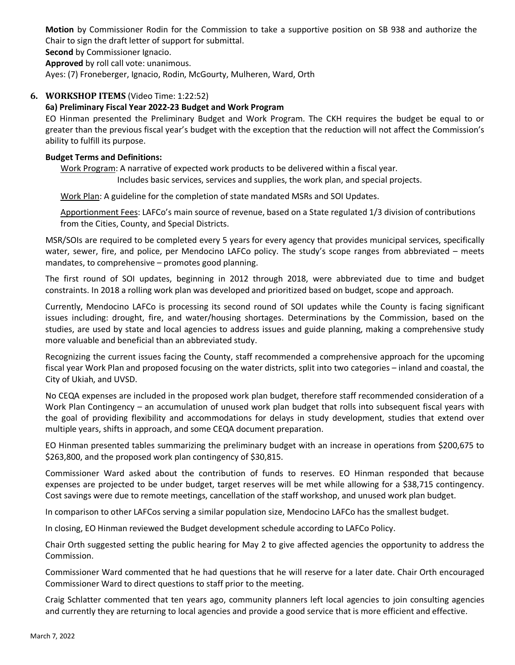**Motion** by Commissioner Rodin for the Commission to take a supportive position on SB 938 and authorize the Chair to sign the draft letter of support for submittal.

**Second** by Commissioner Ignacio.

**Approved** by roll call vote: unanimous.

Ayes: (7) Froneberger, Ignacio, Rodin, McGourty, Mulheren, Ward, Orth

#### **6. WORKSHOP ITEMS** (Video Time: 1:22:52)

#### **6a) Preliminary Fiscal Year 2022-23 Budget and Work Program**

EO Hinman presented the Preliminary Budget and Work Program. The CKH requires the budget be equal to or greater than the previous fiscal year's budget with the exception that the reduction will not affect the Commission's ability to fulfill its purpose.

#### **Budget Terms and Definitions:**

Work Program: A narrative of expected work products to be delivered within a fiscal year. Includes basic services, services and supplies, the work plan, and special projects.

Work Plan: A guideline for the completion of state mandated MSRs and SOI Updates.

Apportionment Fees: LAFCo's main source of revenue, based on a State regulated 1/3 division of contributions from the Cities, County, and Special Districts.

MSR/SOIs are required to be completed every 5 years for every agency that provides municipal services, specifically water, sewer, fire, and police, per Mendocino LAFCo policy. The study's scope ranges from abbreviated – meets mandates, to comprehensive – promotes good planning.

The first round of SOI updates, beginning in 2012 through 2018, were abbreviated due to time and budget constraints. In 2018 a rolling work plan was developed and prioritized based on budget, scope and approach.

Currently, Mendocino LAFCo is processing its second round of SOI updates while the County is facing significant issues including: drought, fire, and water/housing shortages. Determinations by the Commission, based on the studies, are used by state and local agencies to address issues and guide planning, making a comprehensive study more valuable and beneficial than an abbreviated study.

Recognizing the current issues facing the County, staff recommended a comprehensive approach for the upcoming fiscal year Work Plan and proposed focusing on the water districts, split into two categories – inland and coastal, the City of Ukiah, and UVSD.

No CEQA expenses are included in the proposed work plan budget, therefore staff recommended consideration of a Work Plan Contingency – an accumulation of unused work plan budget that rolls into subsequent fiscal years with the goal of providing flexibility and accommodations for delays in study development, studies that extend over multiple years, shifts in approach, and some CEQA document preparation.

EO Hinman presented tables summarizing the preliminary budget with an increase in operations from \$200,675 to \$263,800, and the proposed work plan contingency of \$30,815.

Commissioner Ward asked about the contribution of funds to reserves. EO Hinman responded that because expenses are projected to be under budget, target reserves will be met while allowing for a \$38,715 contingency. Cost savings were due to remote meetings, cancellation of the staff workshop, and unused work plan budget.

In comparison to other LAFCos serving a similar population size, Mendocino LAFCo has the smallest budget.

In closing, EO Hinman reviewed the Budget development schedule according to LAFCo Policy.

Chair Orth suggested setting the public hearing for May 2 to give affected agencies the opportunity to address the Commission.

Commissioner Ward commented that he had questions that he will reserve for a later date. Chair Orth encouraged Commissioner Ward to direct questions to staff prior to the meeting.

Craig Schlatter commented that ten years ago, community planners left local agencies to join consulting agencies and currently they are returning to local agencies and provide a good service that is more efficient and effective.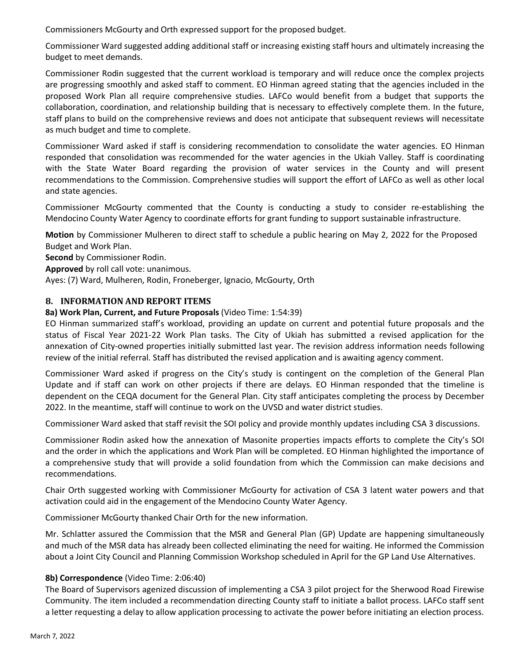Commissioners McGourty and Orth expressed support for the proposed budget.

Commissioner Ward suggested adding additional staff or increasing existing staff hours and ultimately increasing the budget to meet demands.

Commissioner Rodin suggested that the current workload is temporary and will reduce once the complex projects are progressing smoothly and asked staff to comment. EO Hinman agreed stating that the agencies included in the proposed Work Plan all require comprehensive studies. LAFCo would benefit from a budget that supports the collaboration, coordination, and relationship building that is necessary to effectively complete them. In the future, staff plans to build on the comprehensive reviews and does not anticipate that subsequent reviews will necessitate as much budget and time to complete.

Commissioner Ward asked if staff is considering recommendation to consolidate the water agencies. EO Hinman responded that consolidation was recommended for the water agencies in the Ukiah Valley. Staff is coordinating with the State Water Board regarding the provision of water services in the County and will present recommendations to the Commission. Comprehensive studies will support the effort of LAFCo as well as other local and state agencies.

Commissioner McGourty commented that the County is conducting a study to consider re-establishing the Mendocino County Water Agency to coordinate efforts for grant funding to support sustainable infrastructure.

**Motion** by Commissioner Mulheren to direct staff to schedule a public hearing on May 2, 2022 for the Proposed Budget and Work Plan.

**Second** by Commissioner Rodin.

**Approved** by roll call vote: unanimous.

Ayes: (7) Ward, Mulheren, Rodin, Froneberger, Ignacio, McGourty, Orth

#### **8. INFORMATION AND REPORT ITEMS**

#### **8a) Work Plan, Current, and Future Proposals** (Video Time: 1:54:39)

EO Hinman summarized staff's workload, providing an update on current and potential future proposals and the status of Fiscal Year 2021-22 Work Plan tasks. The City of Ukiah has submitted a revised application for the annexation of City-owned properties initially submitted last year. The revision address information needs following review of the initial referral. Staff has distributed the revised application and is awaiting agency comment.

Commissioner Ward asked if progress on the City's study is contingent on the completion of the General Plan Update and if staff can work on other projects if there are delays. EO Hinman responded that the timeline is dependent on the CEQA document for the General Plan. City staff anticipates completing the process by December 2022. In the meantime, staff will continue to work on the UVSD and water district studies.

Commissioner Ward asked that staff revisit the SOI policy and provide monthly updates including CSA 3 discussions.

Commissioner Rodin asked how the annexation of Masonite properties impacts efforts to complete the City's SOI and the order in which the applications and Work Plan will be completed. EO Hinman highlighted the importance of a comprehensive study that will provide a solid foundation from which the Commission can make decisions and recommendations.

Chair Orth suggested working with Commissioner McGourty for activation of CSA 3 latent water powers and that activation could aid in the engagement of the Mendocino County Water Agency.

Commissioner McGourty thanked Chair Orth for the new information.

Mr. Schlatter assured the Commission that the MSR and General Plan (GP) Update are happening simultaneously and much of the MSR data has already been collected eliminating the need for waiting. He informed the Commission about a Joint City Council and Planning Commission Workshop scheduled in April for the GP Land Use Alternatives.

#### **8b) Correspondence** (Video Time: 2:06:40)

The Board of Supervisors agenized discussion of implementing a CSA 3 pilot project for the Sherwood Road Firewise Community. The item included a recommendation directing County staff to initiate a ballot process. LAFCo staff sent a letter requesting a delay to allow application processing to activate the power before initiating an election process.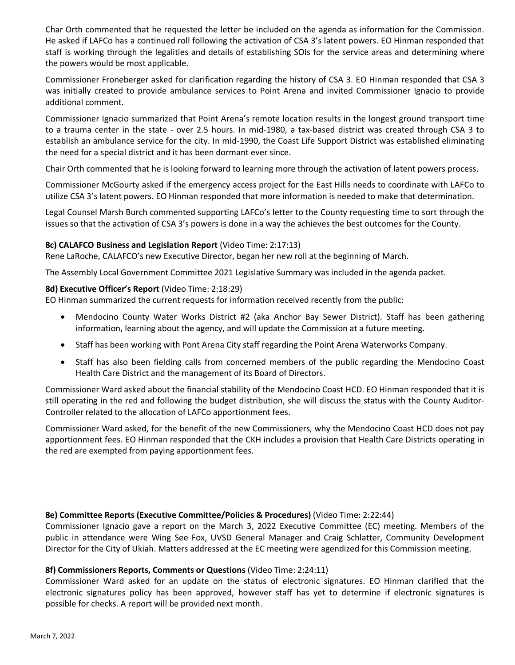Char Orth commented that he requested the letter be included on the agenda as information for the Commission. He asked if LAFCo has a continued roll following the activation of CSA 3's latent powers. EO Hinman responded that staff is working through the legalities and details of establishing SOIs for the service areas and determining where the powers would be most applicable.

Commissioner Froneberger asked for clarification regarding the history of CSA 3. EO Hinman responded that CSA 3 was initially created to provide ambulance services to Point Arena and invited Commissioner Ignacio to provide additional comment.

Commissioner Ignacio summarized that Point Arena's remote location results in the longest ground transport time to a trauma center in the state - over 2.5 hours. In mid-1980, a tax-based district was created through CSA 3 to establish an ambulance service for the city. In mid-1990, the Coast Life Support District was established eliminating the need for a special district and it has been dormant ever since.

Chair Orth commented that he is looking forward to learning more through the activation of latent powers process.

Commissioner McGourty asked if the emergency access project for the East Hills needs to coordinate with LAFCo to utilize CSA 3's latent powers. EO Hinman responded that more information is needed to make that determination.

Legal Counsel Marsh Burch commented supporting LAFCo's letter to the County requesting time to sort through the issues so that the activation of CSA 3's powers is done in a way the achieves the best outcomes for the County.

#### **8c) CALAFCO Business and Legislation Report** (Video Time: 2:17:13)

Rene LaRoche, CALAFCO's new Executive Director, began her new roll at the beginning of March.

The Assembly Local Government Committee 2021 Legislative Summary was included in the agenda packet.

#### **8d) Executive Officer's Report** (Video Time: 2:18:29)

EO Hinman summarized the current requests for information received recently from the public:

- Mendocino County Water Works District #2 (aka Anchor Bay Sewer District). Staff has been gathering information, learning about the agency, and will update the Commission at a future meeting.
- Staff has been working with Pont Arena City staff regarding the Point Arena Waterworks Company.
- Staff has also been fielding calls from concerned members of the public regarding the Mendocino Coast Health Care District and the management of its Board of Directors.

Commissioner Ward asked about the financial stability of the Mendocino Coast HCD. EO Hinman responded that it is still operating in the red and following the budget distribution, she will discuss the status with the County Auditor-Controller related to the allocation of LAFCo apportionment fees.

Commissioner Ward asked, for the benefit of the new Commissioners, why the Mendocino Coast HCD does not pay apportionment fees. EO Hinman responded that the CKH includes a provision that Health Care Districts operating in the red are exempted from paying apportionment fees.

#### **8e) Committee Reports (Executive Committee/Policies & Procedures)** (Video Time: 2:22:44)

Commissioner Ignacio gave a report on the March 3, 2022 Executive Committee (EC) meeting. Members of the public in attendance were Wing See Fox, UVSD General Manager and Craig Schlatter, Community Development Director for the City of Ukiah. Matters addressed at the EC meeting were agendized for this Commission meeting.

#### **8f) Commissioners Reports, Comments or Questions** (Video Time: 2:24:11)

Commissioner Ward asked for an update on the status of electronic signatures. EO Hinman clarified that the electronic signatures policy has been approved, however staff has yet to determine if electronic signatures is possible for checks. A report will be provided next month.